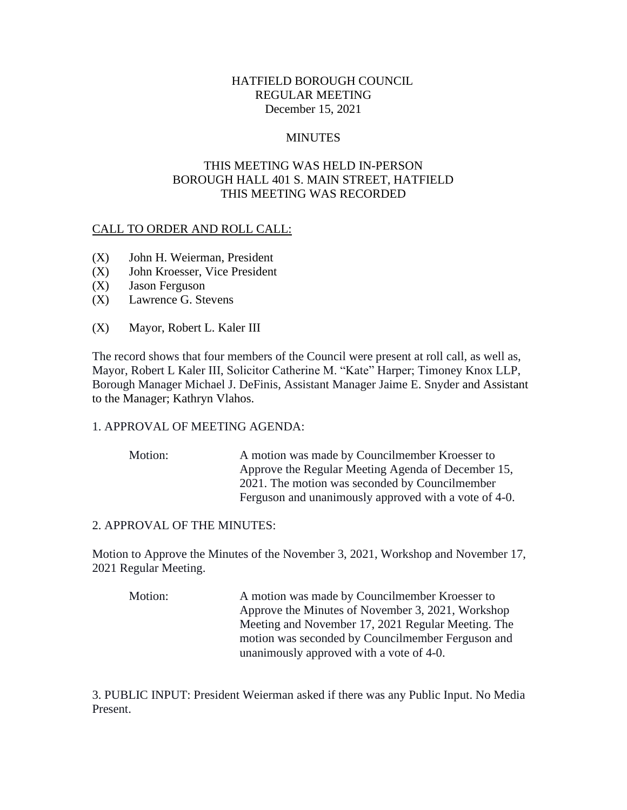# HATFIELD BOROUGH COUNCIL REGULAR MEETING December 15, 2021

### **MINUTES**

# THIS MEETING WAS HELD IN-PERSON BOROUGH HALL 401 S. MAIN STREET, HATFIELD THIS MEETING WAS RECORDED

### CALL TO ORDER AND ROLL CALL:

- (X) John H. Weierman, President
- (X) John Kroesser, Vice President
- (X) Jason Ferguson
- (X) Lawrence G. Stevens
- (X) Mayor, Robert L. Kaler III

The record shows that four members of the Council were present at roll call, as well as, Mayor, Robert L Kaler III, Solicitor Catherine M. "Kate" Harper; Timoney Knox LLP, Borough Manager Michael J. DeFinis, Assistant Manager Jaime E. Snyder and Assistant to the Manager; Kathryn Vlahos.

#### 1. APPROVAL OF MEETING AGENDA:

Motion: A motion was made by Councilmember Kroesser to Approve the Regular Meeting Agenda of December 15, 2021. The motion was seconded by Councilmember Ferguson and unanimously approved with a vote of 4-0.

### 2. APPROVAL OF THE MINUTES:

Motion to Approve the Minutes of the November 3, 2021, Workshop and November 17, 2021 Regular Meeting.

Motion: A motion was made by Councilmember Kroesser to Approve the Minutes of November 3, 2021, Workshop Meeting and November 17, 2021 Regular Meeting. The motion was seconded by Councilmember Ferguson and unanimously approved with a vote of 4-0.

3. PUBLIC INPUT: President Weierman asked if there was any Public Input. No Media Present.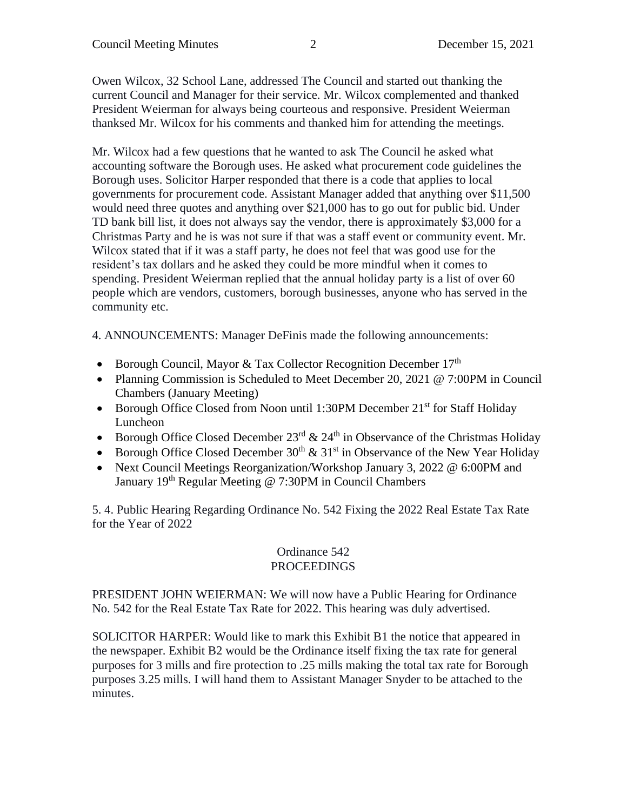Owen Wilcox, 32 School Lane, addressed The Council and started out thanking the current Council and Manager for their service. Mr. Wilcox complemented and thanked President Weierman for always being courteous and responsive. President Weierman thanksed Mr. Wilcox for his comments and thanked him for attending the meetings.

Mr. Wilcox had a few questions that he wanted to ask The Council he asked what accounting software the Borough uses. He asked what procurement code guidelines the Borough uses. Solicitor Harper responded that there is a code that applies to local governments for procurement code. Assistant Manager added that anything over \$11,500 would need three quotes and anything over \$21,000 has to go out for public bid. Under TD bank bill list, it does not always say the vendor, there is approximately \$3,000 for a Christmas Party and he is was not sure if that was a staff event or community event. Mr. Wilcox stated that if it was a staff party, he does not feel that was good use for the resident's tax dollars and he asked they could be more mindful when it comes to spending. President Weierman replied that the annual holiday party is a list of over 60 people which are vendors, customers, borough businesses, anyone who has served in the community etc.

4. ANNOUNCEMENTS: Manager DeFinis made the following announcements:

- Borough Council, Mayor & Tax Collector Recognition December  $17<sup>th</sup>$
- Planning Commission is Scheduled to Meet December 20, 2021 @ 7:00PM in Council Chambers (January Meeting)
- Borough Office Closed from Noon until 1:30PM December 21<sup>st</sup> for Staff Holiday Luncheon
- Borough Office Closed December  $23<sup>rd</sup>$  &  $24<sup>th</sup>$  in Observance of the Christmas Holiday
- Borough Office Closed December  $30^{th}$  &  $31^{st}$  in Observance of the New Year Holiday
- Next Council Meetings Reorganization/Workshop January 3, 2022 @ 6:00PM and January 19<sup>th</sup> Regular Meeting @ 7:30PM in Council Chambers

5. 4. Public Hearing Regarding Ordinance No. 542 Fixing the 2022 Real Estate Tax Rate for the Year of 2022

# Ordinance 542 PROCEEDINGS

PRESIDENT JOHN WEIERMAN: We will now have a Public Hearing for Ordinance No. 542 for the Real Estate Tax Rate for 2022. This hearing was duly advertised.

SOLICITOR HARPER: Would like to mark this Exhibit B1 the notice that appeared in the newspaper. Exhibit B2 would be the Ordinance itself fixing the tax rate for general purposes for 3 mills and fire protection to .25 mills making the total tax rate for Borough purposes 3.25 mills. I will hand them to Assistant Manager Snyder to be attached to the minutes.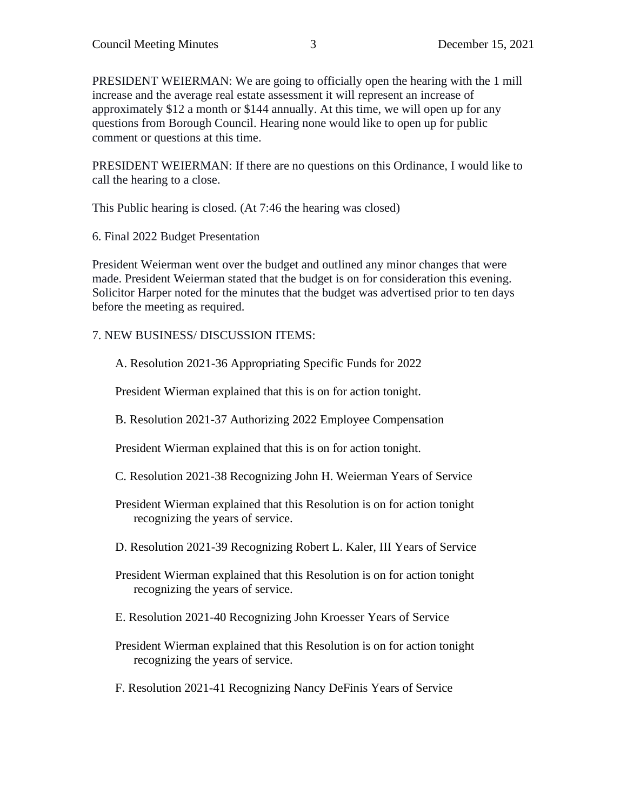PRESIDENT WEIERMAN: We are going to officially open the hearing with the 1 mill increase and the average real estate assessment it will represent an increase of approximately \$12 a month or \$144 annually. At this time, we will open up for any questions from Borough Council. Hearing none would like to open up for public comment or questions at this time.

PRESIDENT WEIERMAN: If there are no questions on this Ordinance, I would like to call the hearing to a close.

This Public hearing is closed. (At 7:46 the hearing was closed)

6. Final 2022 Budget Presentation

President Weierman went over the budget and outlined any minor changes that were made. President Weierman stated that the budget is on for consideration this evening. Solicitor Harper noted for the minutes that the budget was advertised prior to ten days before the meeting as required.

### 7. NEW BUSINESS/ DISCUSSION ITEMS:

A. Resolution 2021-36 Appropriating Specific Funds for 2022

President Wierman explained that this is on for action tonight.

B. Resolution 2021-37 Authorizing 2022 Employee Compensation

President Wierman explained that this is on for action tonight.

- C. Resolution 2021-38 Recognizing John H. Weierman Years of Service
- President Wierman explained that this Resolution is on for action tonight recognizing the years of service.
- D. Resolution 2021-39 Recognizing Robert L. Kaler, III Years of Service
- President Wierman explained that this Resolution is on for action tonight recognizing the years of service.
- E. Resolution 2021-40 Recognizing John Kroesser Years of Service
- President Wierman explained that this Resolution is on for action tonight recognizing the years of service.
- F. Resolution 2021-41 Recognizing Nancy DeFinis Years of Service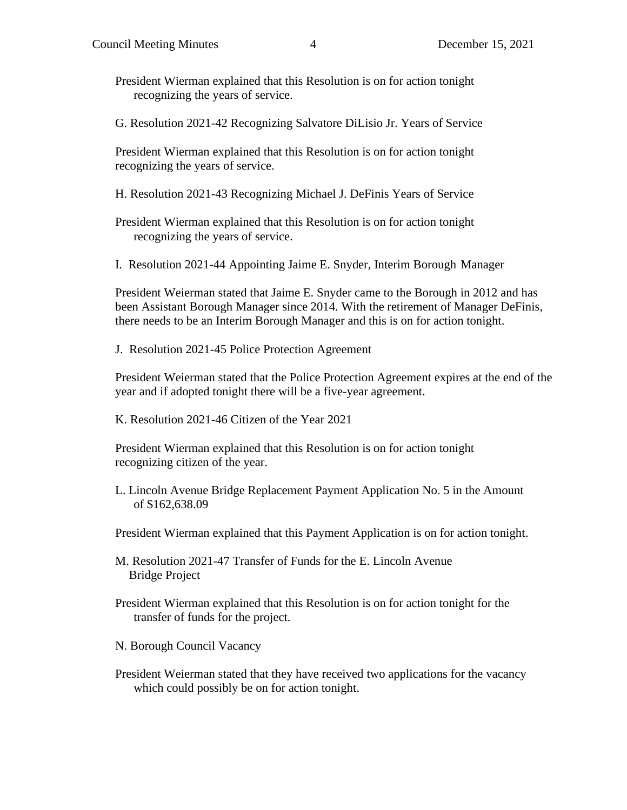President Wierman explained that this Resolution is on for action tonight recognizing the years of service.

G. Resolution 2021-42 Recognizing Salvatore DiLisio Jr. Years of Service

President Wierman explained that this Resolution is on for action tonight recognizing the years of service.

H. Resolution 2021-43 Recognizing Michael J. DeFinis Years of Service

President Wierman explained that this Resolution is on for action tonight recognizing the years of service.

I. Resolution 2021-44 Appointing Jaime E. Snyder, Interim Borough Manager

President Weierman stated that Jaime E. Snyder came to the Borough in 2012 and has been Assistant Borough Manager since 2014. With the retirement of Manager DeFinis, there needs to be an Interim Borough Manager and this is on for action tonight.

J. Resolution 2021-45 Police Protection Agreement

President Weierman stated that the Police Protection Agreement expires at the end of the year and if adopted tonight there will be a five-year agreement.

K. Resolution 2021-46 Citizen of the Year 2021

President Wierman explained that this Resolution is on for action tonight recognizing citizen of the year.

L. Lincoln Avenue Bridge Replacement Payment Application No. 5 in the Amount of \$162,638.09

President Wierman explained that this Payment Application is on for action tonight.

M. Resolution 2021-47 Transfer of Funds for the E. Lincoln Avenue Bridge Project

- President Wierman explained that this Resolution is on for action tonight for the transfer of funds for the project.
- N. Borough Council Vacancy
- President Weierman stated that they have received two applications for the vacancy which could possibly be on for action tonight.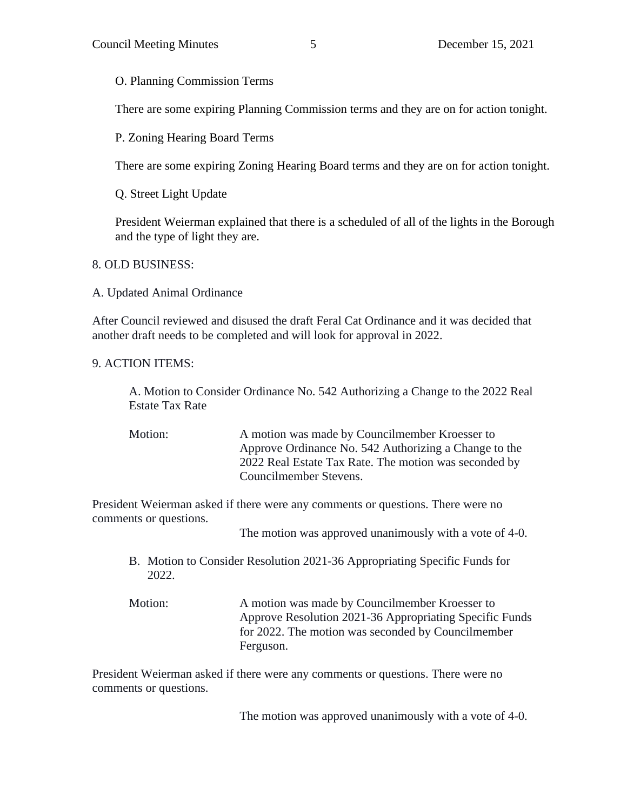O. Planning Commission Terms

There are some expiring Planning Commission terms and they are on for action tonight.

P. Zoning Hearing Board Terms

There are some expiring Zoning Hearing Board terms and they are on for action tonight.

Q. Street Light Update

President Weierman explained that there is a scheduled of all of the lights in the Borough and the type of light they are.

8. OLD BUSINESS:

A. Updated Animal Ordinance

After Council reviewed and disused the draft Feral Cat Ordinance and it was decided that another draft needs to be completed and will look for approval in 2022.

9. ACTION ITEMS:

A. Motion to Consider Ordinance No. 542 Authorizing a Change to the 2022 Real Estate Tax Rate

Motion: A motion was made by Councilmember Kroesser to Approve Ordinance No. 542 Authorizing a Change to the 2022 Real Estate Tax Rate. The motion was seconded by Councilmember Stevens.

President Weierman asked if there were any comments or questions. There were no comments or questions.

The motion was approved unanimously with a vote of 4-0.

- B. Motion to Consider Resolution 2021-36 Appropriating Specific Funds for 2022.
- Motion: A motion was made by Councilmember Kroesser to Approve Resolution 2021-36 Appropriating Specific Funds for 2022. The motion was seconded by Councilmember Ferguson.

President Weierman asked if there were any comments or questions. There were no comments or questions.

The motion was approved unanimously with a vote of 4-0.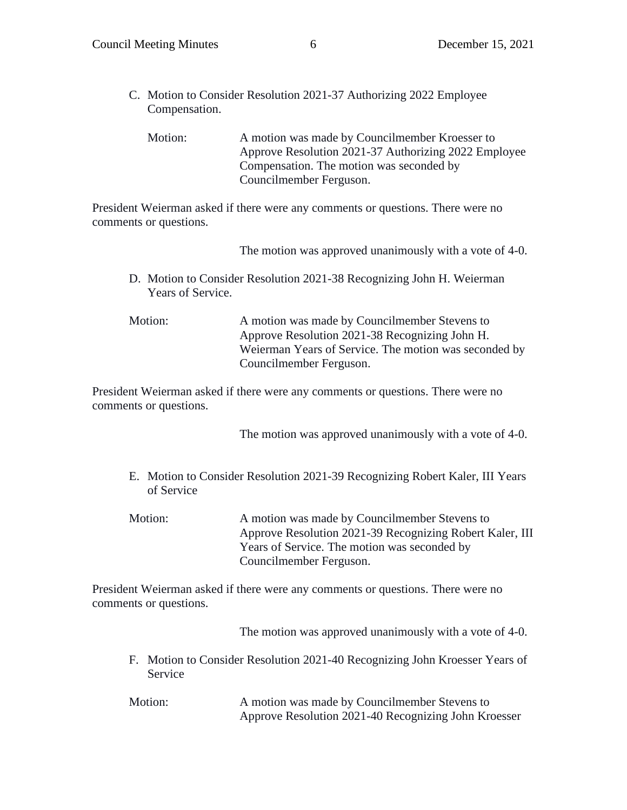C. Motion to Consider Resolution 2021-37 Authorizing 2022 Employee Compensation.

Motion: A motion was made by Councilmember Kroesser to Approve Resolution 2021-37 Authorizing 2022 Employee Compensation. The motion was seconded by Councilmember Ferguson.

President Weierman asked if there were any comments or questions. There were no comments or questions.

The motion was approved unanimously with a vote of 4-0.

D. Motion to Consider Resolution 2021-38 Recognizing John H. Weierman Years of Service.

Motion: A motion was made by Councilmember Stevens to Approve Resolution 2021-38 Recognizing John H. Weierman Years of Service. The motion was seconded by Councilmember Ferguson.

President Weierman asked if there were any comments or questions. There were no comments or questions.

The motion was approved unanimously with a vote of 4-0.

- E. Motion to Consider Resolution 2021-39 Recognizing Robert Kaler, III Years of Service
- Motion: A motion was made by Councilmember Stevens to Approve Resolution 2021-39 Recognizing Robert Kaler, III Years of Service. The motion was seconded by Councilmember Ferguson.

President Weierman asked if there were any comments or questions. There were no comments or questions.

The motion was approved unanimously with a vote of 4-0.

- F. Motion to Consider Resolution 2021-40 Recognizing John Kroesser Years of Service
- Motion: A motion was made by Councilmember Stevens to Approve Resolution 2021-40 Recognizing John Kroesser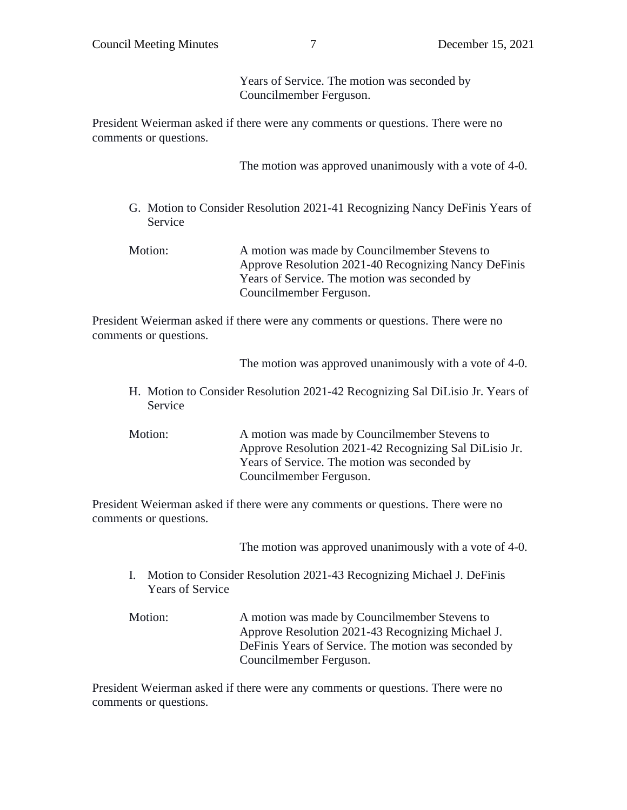Years of Service. The motion was seconded by Councilmember Ferguson.

President Weierman asked if there were any comments or questions. There were no comments or questions.

The motion was approved unanimously with a vote of 4-0.

- G. Motion to Consider Resolution 2021-41 Recognizing Nancy DeFinis Years of Service
- Motion: A motion was made by Councilmember Stevens to Approve Resolution 2021-40 Recognizing Nancy DeFinis Years of Service. The motion was seconded by Councilmember Ferguson.

President Weierman asked if there were any comments or questions. There were no comments or questions.

The motion was approved unanimously with a vote of 4-0.

- H. Motion to Consider Resolution 2021-42 Recognizing Sal DiLisio Jr. Years of Service
- Motion: A motion was made by Councilmember Stevens to Approve Resolution 2021-42 Recognizing Sal DiLisio Jr. Years of Service. The motion was seconded by Councilmember Ferguson.

President Weierman asked if there were any comments or questions. There were no comments or questions.

The motion was approved unanimously with a vote of 4-0.

- I. Motion to Consider Resolution 2021-43 Recognizing Michael J. DeFinis Years of Service
- Motion: A motion was made by Councilmember Stevens to Approve Resolution 2021-43 Recognizing Michael J. DeFinis Years of Service. The motion was seconded by Councilmember Ferguson.

President Weierman asked if there were any comments or questions. There were no comments or questions.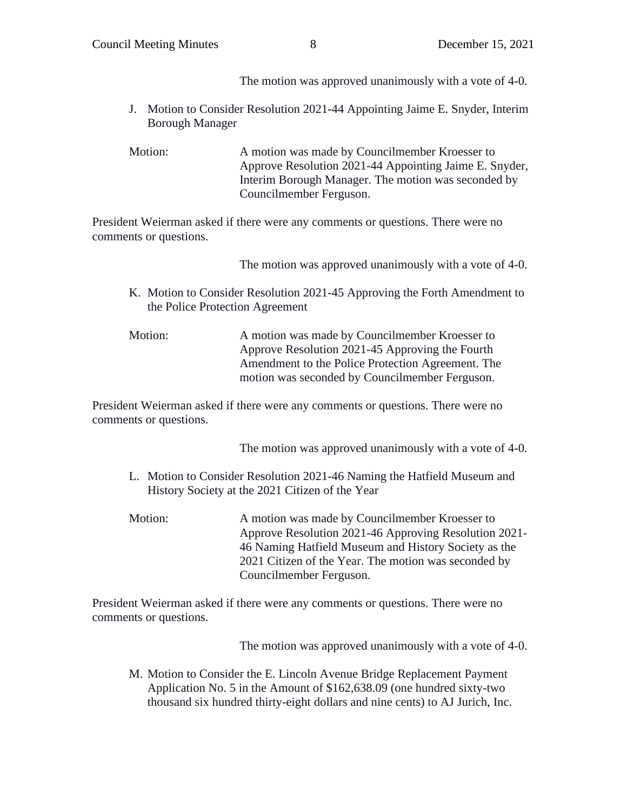The motion was approved unanimously with a vote of 4-0.

- J. Motion to Consider Resolution 2021-44 Appointing Jaime E. Snyder, Interim Borough Manager
- Motion: A motion was made by Councilmember Kroesser to Approve Resolution 2021-44 Appointing Jaime E. Snyder, Interim Borough Manager. The motion was seconded by Councilmember Ferguson.

President Weierman asked if there were any comments or questions. There were no comments or questions.

The motion was approved unanimously with a vote of 4-0.

- K. Motion to Consider Resolution 2021-45 Approving the Forth Amendment to the Police Protection Agreement
- Motion: A motion was made by Councilmember Kroesser to Approve Resolution 2021-45 Approving the Fourth Amendment to the Police Protection Agreement. The motion was seconded by Councilmember Ferguson.

President Weierman asked if there were any comments or questions. There were no comments or questions.

The motion was approved unanimously with a vote of 4-0.

- L. Motion to Consider Resolution 2021-46 Naming the Hatfield Museum and History Society at the 2021 Citizen of the Year
- Motion: A motion was made by Councilmember Kroesser to Approve Resolution 2021-46 Approving Resolution 2021- 46 Naming Hatfield Museum and History Society as the 2021 Citizen of the Year. The motion was seconded by Councilmember Ferguson.

President Weierman asked if there were any comments or questions. There were no comments or questions.

The motion was approved unanimously with a vote of 4-0.

M. Motion to Consider the E. Lincoln Avenue Bridge Replacement Payment Application No. 5 in the Amount of \$162,638.09 (one hundred sixty-two thousand six hundred thirty-eight dollars and nine cents) to AJ Jurich, Inc.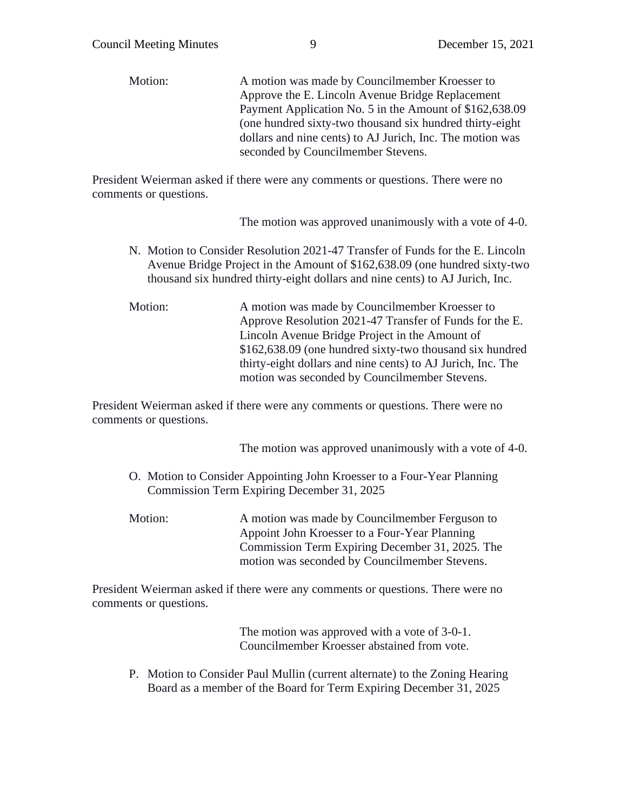Motion: A motion was made by Councilmember Kroesser to Approve the E. Lincoln Avenue Bridge Replacement Payment Application No. 5 in the Amount of \$162,638.09 (one hundred sixty-two thousand six hundred thirty-eight dollars and nine cents) to AJ Jurich, Inc. The motion was seconded by Councilmember Stevens.

President Weierman asked if there were any comments or questions. There were no comments or questions.

The motion was approved unanimously with a vote of 4-0.

- N. Motion to Consider Resolution 2021-47 Transfer of Funds for the E. Lincoln Avenue Bridge Project in the Amount of \$162,638.09 (one hundred sixty-two thousand six hundred thirty-eight dollars and nine cents) to AJ Jurich, Inc.
- Motion: A motion was made by Councilmember Kroesser to Approve Resolution 2021-47 Transfer of Funds for the E. Lincoln Avenue Bridge Project in the Amount of \$162,638.09 (one hundred sixty-two thousand six hundred thirty-eight dollars and nine cents) to AJ Jurich, Inc. The motion was seconded by Councilmember Stevens.

President Weierman asked if there were any comments or questions. There were no comments or questions.

The motion was approved unanimously with a vote of 4-0.

- O. Motion to Consider Appointing John Kroesser to a Four-Year Planning Commission Term Expiring December 31, 2025
- Motion: A motion was made by Councilmember Ferguson to Appoint John Kroesser to a Four-Year Planning Commission Term Expiring December 31, 2025. The motion was seconded by Councilmember Stevens.

President Weierman asked if there were any comments or questions. There were no comments or questions.

> The motion was approved with a vote of 3-0-1. Councilmember Kroesser abstained from vote.

P. Motion to Consider Paul Mullin (current alternate) to the Zoning Hearing Board as a member of the Board for Term Expiring December 31, 2025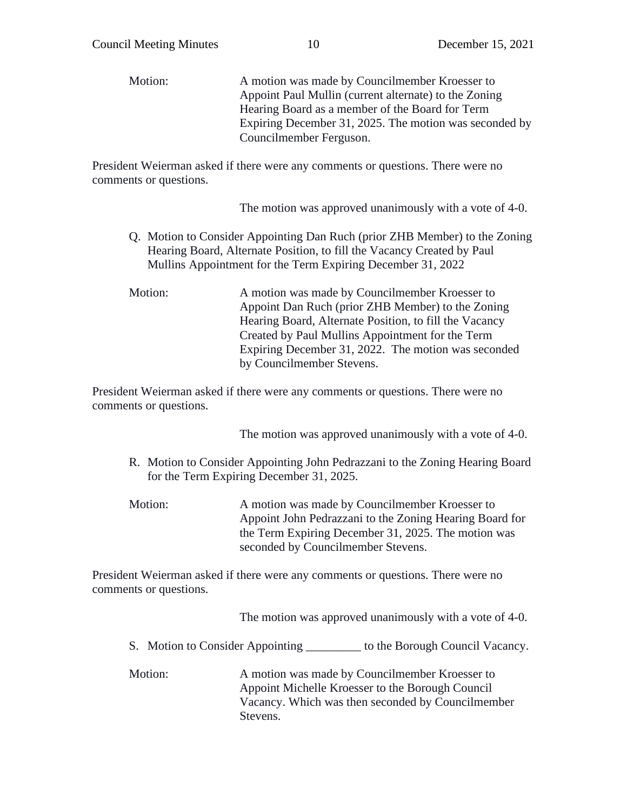Motion: A motion was made by Councilmember Kroesser to Appoint Paul Mullin (current alternate) to the Zoning Hearing Board as a member of the Board for Term Expiring December 31, 2025. The motion was seconded by Councilmember Ferguson.

President Weierman asked if there were any comments or questions. There were no comments or questions.

The motion was approved unanimously with a vote of 4-0.

- Q. Motion to Consider Appointing Dan Ruch (prior ZHB Member) to the Zoning Hearing Board, Alternate Position, to fill the Vacancy Created by Paul Mullins Appointment for the Term Expiring December 31, 2022
- Motion: A motion was made by Councilmember Kroesser to Appoint Dan Ruch (prior ZHB Member) to the Zoning Hearing Board, Alternate Position, to fill the Vacancy Created by Paul Mullins Appointment for the Term Expiring December 31, 2022. The motion was seconded by Councilmember Stevens.

President Weierman asked if there were any comments or questions. There were no comments or questions.

The motion was approved unanimously with a vote of 4-0.

- R. Motion to Consider Appointing John Pedrazzani to the Zoning Hearing Board for the Term Expiring December 31, 2025.
- Motion: A motion was made by Councilmember Kroesser to Appoint John Pedrazzani to the Zoning Hearing Board for the Term Expiring December 31, 2025. The motion was seconded by Councilmember Stevens.

President Weierman asked if there were any comments or questions. There were no comments or questions.

The motion was approved unanimously with a vote of 4-0.

- S. Motion to Consider Appointing \_\_\_\_\_\_\_\_\_ to the Borough Council Vacancy.
- Motion: A motion was made by Councilmember Kroesser to Appoint Michelle Kroesser to the Borough Council Vacancy. Which was then seconded by Councilmember Stevens.